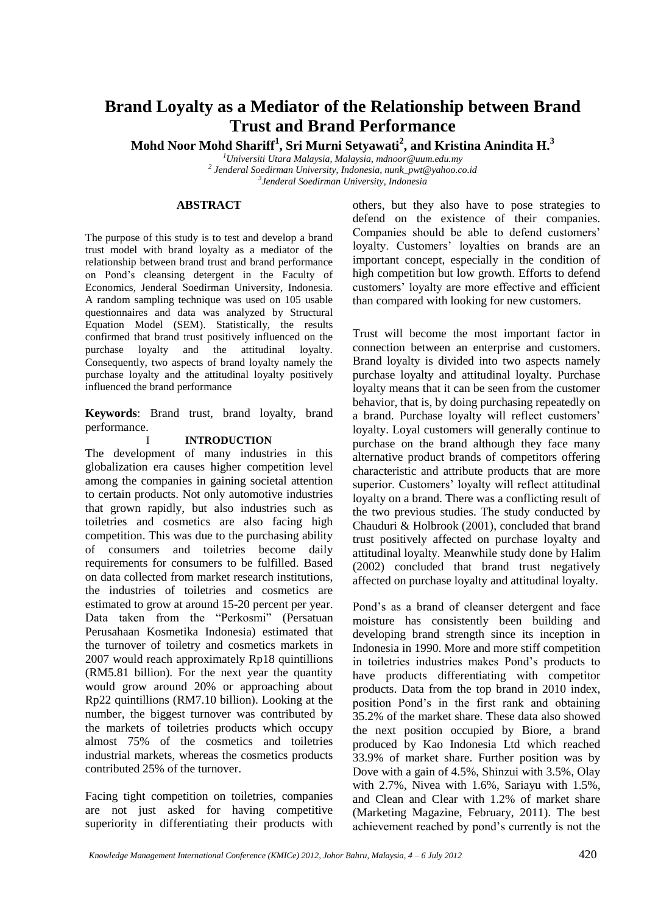# **Brand Loyalty as a Mediator of the Relationship between Brand Trust and Brand Performance**

**Mohd Noor Mohd Shariff<sup>1</sup> , Sri Murni Setyawati<sup>2</sup> , and Kristina Anindita H.<sup>3</sup>**

*<sup>1</sup>Universiti Utara Malaysia, Malaysia, mdnoor@uum.edu.my*

*2 Jenderal Soedirman University, Indonesia, nunk\_pwt@yahoo.co.id 3 Jenderal Soedirman University, Indonesia*

## **ABSTRACT**

The purpose of this study is to test and develop a brand trust model with brand loyalty as a mediator of the relationship between brand trust and brand performance on Pond's cleansing detergent in the Faculty of Economics, Jenderal Soedirman University, Indonesia. A random sampling technique was used on 105 usable questionnaires and data was analyzed by Structural Equation Model (SEM). Statistically, the results confirmed that brand trust positively influenced on the purchase loyalty and the attitudinal loyalty. Consequently, two aspects of brand loyalty namely the purchase loyalty and the attitudinal loyalty positively influenced the brand performance

**Keywords**: Brand trust, brand loyalty, brand performance.

## I **INTRODUCTION**

The development of many industries in this globalization era causes higher competition level among the companies in gaining societal attention to certain products. Not only automotive industries that grown rapidly, but also industries such as toiletries and cosmetics are also facing high competition. This was due to the purchasing ability of consumers and toiletries become daily requirements for consumers to be fulfilled. Based on data collected from market research institutions, the industries of toiletries and cosmetics are estimated to grow at around 15-20 percent per year. Data taken from the "Perkosmi" (Persatuan Perusahaan Kosmetika Indonesia) estimated that the turnover of toiletry and cosmetics markets in 2007 would reach approximately Rp18 quintillions (RM5.81 billion). For the next year the quantity would grow around 20% or approaching about Rp22 quintillions (RM7.10 billion). Looking at the number, the biggest turnover was contributed by the markets of toiletries products which occupy almost 75% of the cosmetics and toiletries industrial markets, whereas the cosmetics products contributed 25% of the turnover.

Facing tight competition on toiletries, companies are not just asked for having competitive superiority in differentiating their products with

others, but they also have to pose strategies to defend on the existence of their companies. Companies should be able to defend customers' loyalty. Customers' loyalties on brands are an important concept, especially in the condition of high competition but low growth. Efforts to defend customers' loyalty are more effective and efficient than compared with looking for new customers.

Trust will become the most important factor in connection between an enterprise and customers. Brand loyalty is divided into two aspects namely purchase loyalty and attitudinal loyalty. Purchase loyalty means that it can be seen from the customer behavior, that is, by doing purchasing repeatedly on a brand. Purchase loyalty will reflect customers' loyalty. Loyal customers will generally continue to purchase on the brand although they face many alternative product brands of competitors offering characteristic and attribute products that are more superior. Customers' loyalty will reflect attitudinal loyalty on a brand. There was a conflicting result of the two previous studies. The study conducted by Chauduri & Holbrook (2001), concluded that brand trust positively affected on purchase loyalty and attitudinal loyalty. Meanwhile study done by Halim (2002) concluded that brand trust negatively affected on purchase loyalty and attitudinal loyalty.

Pond's as a brand of cleanser detergent and face moisture has consistently been building and developing brand strength since its inception in Indonesia in 1990. More and more stiff competition in toiletries industries makes Pond's products to have products differentiating with competitor products. Data from the top brand in 2010 index, position Pond's in the first rank and obtaining 35.2% of the market share. These data also showed the next position occupied by Biore, a brand produced by Kao Indonesia Ltd which reached 33.9% of market share. Further position was by Dove with a gain of 4.5%, Shinzui with 3.5%, Olay with 2.7%, Nivea with 1.6%, Sariayu with 1.5%, and Clean and Clear with 1.2% of market share (Marketing Magazine, February, 2011). The best achievement reached by pond's currently is not the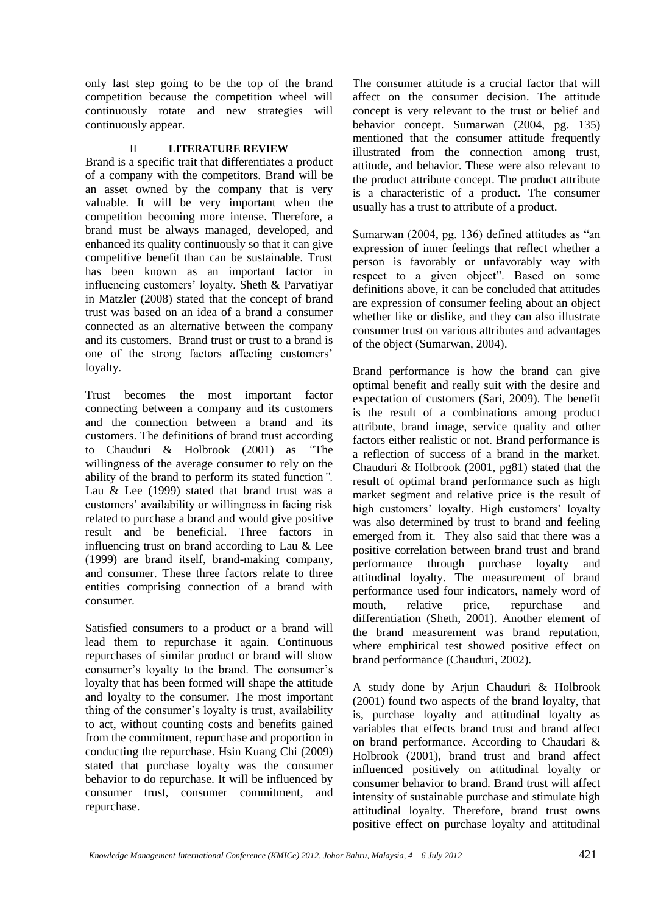only last step going to be the top of the brand competition because the competition wheel will continuously rotate and new strategies will continuously appear.

## II **LITERATURE REVIEW**

Brand is a specific trait that differentiates a product of a company with the competitors. Brand will be an asset owned by the company that is very valuable. It will be very important when the competition becoming more intense. Therefore, a brand must be always managed, developed, and enhanced its quality continuously so that it can give competitive benefit than can be sustainable. Trust has been known as an important factor in influencing customers' loyalty. Sheth & Parvatiyar in Matzler (2008) stated that the concept of brand trust was based on an idea of a brand a consumer connected as an alternative between the company and its customers. Brand trust or trust to a brand is one of the strong factors affecting customers' loyalty.

Trust becomes the most important factor connecting between a company and its customers and the connection between a brand and its customers. The definitions of brand trust according to Chauduri & Holbrook (2001) as *"*The willingness of the average consumer to rely on the ability of the brand to perform its stated function*".*  Lau & Lee (1999) stated that brand trust was a customers' availability or willingness in facing risk related to purchase a brand and would give positive result and be beneficial. Three factors in influencing trust on brand according to Lau & Lee (1999) are brand itself, brand-making company, and consumer. These three factors relate to three entities comprising connection of a brand with consumer.

Satisfied consumers to a product or a brand will lead them to repurchase it again. Continuous repurchases of similar product or brand will show consumer's loyalty to the brand. The consumer's loyalty that has been formed will shape the attitude and loyalty to the consumer. The most important thing of the consumer's loyalty is trust, availability to act, without counting costs and benefits gained from the commitment, repurchase and proportion in conducting the repurchase. Hsin Kuang Chi (2009) stated that purchase loyalty was the consumer behavior to do repurchase. It will be influenced by consumer trust, consumer commitment, and repurchase.

The consumer attitude is a crucial factor that will affect on the consumer decision. The attitude concept is very relevant to the trust or belief and behavior concept. Sumarwan (2004, pg. 135) mentioned that the consumer attitude frequently illustrated from the connection among trust, attitude, and behavior. These were also relevant to the product attribute concept. The product attribute is a characteristic of a product. The consumer usually has a trust to attribute of a product.

Sumarwan (2004, pg. 136) defined attitudes as "an expression of inner feelings that reflect whether a person is favorably or unfavorably way with respect to a given object". Based on some definitions above, it can be concluded that attitudes are expression of consumer feeling about an object whether like or dislike, and they can also illustrate consumer trust on various attributes and advantages of the object (Sumarwan, 2004).

Brand performance is how the brand can give optimal benefit and really suit with the desire and expectation of customers (Sari, 2009). The benefit is the result of a combinations among product attribute, brand image, service quality and other factors either realistic or not. Brand performance is a reflection of success of a brand in the market. Chauduri & Holbrook (2001, pg81) stated that the result of optimal brand performance such as high market segment and relative price is the result of high customers' loyalty. High customers' loyalty was also determined by trust to brand and feeling emerged from it. They also said that there was a positive correlation between brand trust and brand performance through purchase loyalty and attitudinal loyalty. The measurement of brand performance used four indicators, namely word of mouth, relative price, repurchase and differentiation (Sheth, 2001). Another element of the brand measurement was brand reputation, where emphirical test showed positive effect on brand performance (Chauduri, 2002).

A study done by Arjun Chauduri & Holbrook (2001) found two aspects of the brand loyalty, that is, purchase loyalty and attitudinal loyalty as variables that effects brand trust and brand affect on brand performance. According to Chaudari & Holbrook (2001), brand trust and brand affect influenced positively on attitudinal loyalty or consumer behavior to brand. Brand trust will affect intensity of sustainable purchase and stimulate high attitudinal loyalty. Therefore, brand trust owns positive effect on purchase loyalty and attitudinal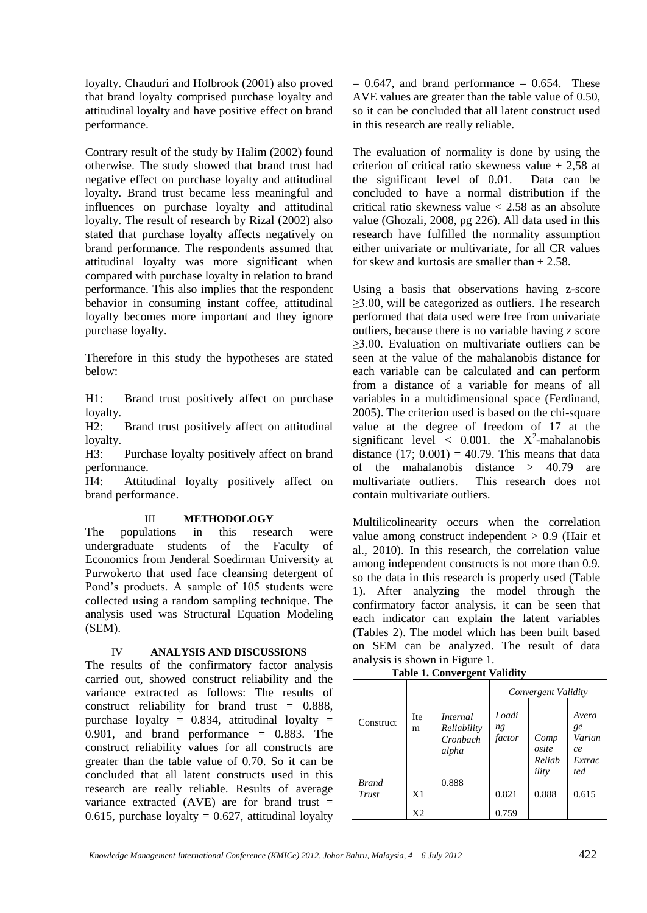loyalty. Chauduri and Holbrook (2001) also proved that brand loyalty comprised purchase loyalty and attitudinal loyalty and have positive effect on brand performance.

Contrary result of the study by Halim (2002) found otherwise. The study showed that brand trust had negative effect on purchase loyalty and attitudinal loyalty. Brand trust became less meaningful and influences on purchase loyalty and attitudinal loyalty. The result of research by Rizal (2002) also stated that purchase loyalty affects negatively on brand performance. The respondents assumed that attitudinal loyalty was more significant when compared with purchase loyalty in relation to brand performance. This also implies that the respondent behavior in consuming instant coffee, attitudinal loyalty becomes more important and they ignore purchase loyalty.

Therefore in this study the hypotheses are stated below:

H1: Brand trust positively affect on purchase loyalty.

H2: Brand trust positively affect on attitudinal loyalty.

H3: Purchase loyalty positively affect on brand performance.

H4: Attitudinal loyalty positively affect on brand performance.

## III **METHODOLOGY**

The populations in this research were undergraduate students of the Faculty of Economics from Jenderal Soedirman University at Purwokerto that used face cleansing detergent of Pond's products. A sample of 105 students were collected using a random sampling technique. The analysis used was Structural Equation Modeling (SEM).

## IV **ANALYSIS AND DISCUSSIONS**

The results of the confirmatory factor analysis carried out, showed construct reliability and the variance extracted as follows: The results of construct reliability for brand trust = 0.888, purchase loyalty =  $0.834$ , attitudinal loyalty = 0.901, and brand performance  $= 0.883$ . The construct reliability values for all constructs are greater than the table value of 0.70. So it can be concluded that all latent constructs used in this research are really reliable. Results of average variance extracted  $(AVE)$  are for brand trust = 0.615, purchase loyalty =  $0.627$ , attitudinal loyalty

 $= 0.647$ , and brand performance  $= 0.654$ . These AVE values are greater than the table value of 0.50, so it can be concluded that all latent construct used in this research are really reliable.

The evaluation of normality is done by using the criterion of critical ratio skewness value  $\pm$  2,58 at the significant level of 0.01. Data can be concluded to have a normal distribution if the critical ratio skewness value  $< 2.58$  as an absolute value (Ghozali, 2008, pg 226). All data used in this research have fulfilled the normality assumption either univariate or multivariate, for all CR values for skew and kurtosis are smaller than  $\pm$  2.58.

Using a basis that observations having z-score  $\geq$ 3.00, will be categorized as outliers. The research performed that data used were free from univariate outliers, because there is no variable having z score ≥3.00. Evaluation on multivariate outliers can be seen at the value of the mahalanobis distance for each variable can be calculated and can perform from a distance of a variable for means of all variables in a multidimensional space (Ferdinand, 2005). The criterion used is based on the chi-square value at the degree of freedom of 17 at the significant level <  $0.001$ . the  $X^2$ -mahalanobis distance  $(17; 0.001) = 40.79$ . This means that data of the mahalanobis distance > 40.79 are multivariate outliers. This research does not contain multivariate outliers.

Multilicolinearity occurs when the correlation value among construct independent > 0.9 (Hair et al., 2010). In this research, the correlation value among independent constructs is not more than 0.9. so the data in this research is properly used (Table 1). After analyzing the model through the confirmatory factor analysis, it can be seen that each indicator can explain the latent variables (Tables 2). The model which has been built based on SEM can be analyzed. The result of data analysis is shown in Figure 1.

**Table 1. Convergent Validity**

| таше 1. Сонуствене уапшлу |          |                                                     |                       |                                  |                                              |  |
|---------------------------|----------|-----------------------------------------------------|-----------------------|----------------------------------|----------------------------------------------|--|
|                           |          |                                                     | Convergent Validity   |                                  |                                              |  |
| Construct                 | Ite<br>m | <i>Internal</i><br>Reliability<br>Cronbach<br>alpha | Loadi<br>ng<br>factor | Comp<br>osite<br>Reliab<br>ility | Avera<br>ge<br>Varian<br>ce<br>Extrac<br>ted |  |
| <b>Brand</b>              |          | 0.888                                               |                       |                                  |                                              |  |
| Trust                     | X1       |                                                     | 0.821                 | 0.888                            | 0.615                                        |  |
|                           | X2       |                                                     | 0.759                 |                                  |                                              |  |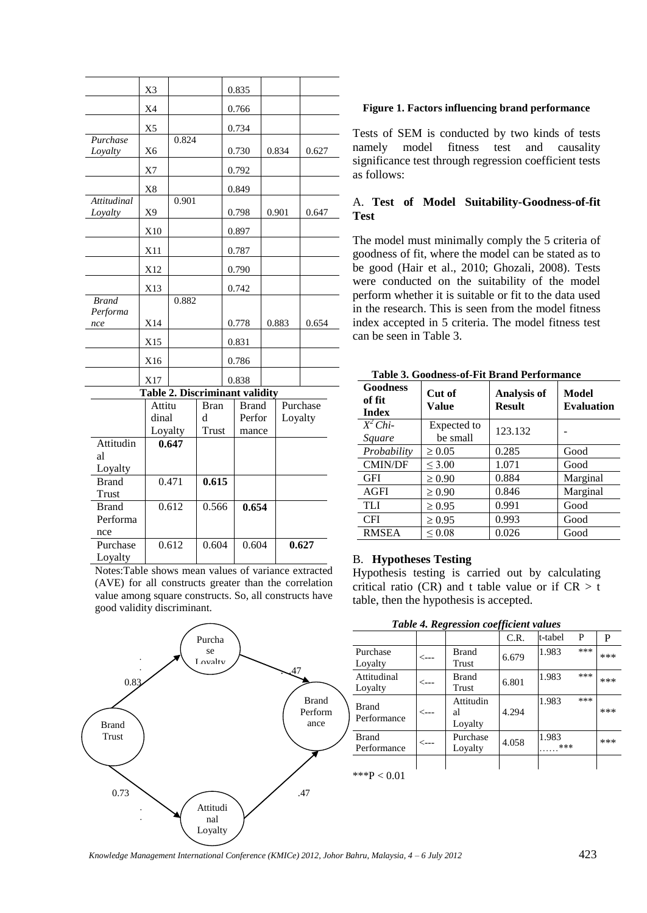|                                  | X3                                    |        |            |             | 0.835                  |  |                     |       |
|----------------------------------|---------------------------------------|--------|------------|-------------|------------------------|--|---------------------|-------|
|                                  | X <sub>4</sub>                        |        |            |             | 0.766                  |  |                     |       |
|                                  | X <sub>5</sub>                        |        |            |             | 0.734                  |  |                     |       |
| Purchase<br>Loyalty              | X6                                    | 0.824  |            |             | 0.730                  |  | 0.834               | 0.627 |
|                                  | X7                                    |        |            |             | 0.792                  |  |                     |       |
|                                  | X8                                    |        |            |             | 0.849                  |  |                     |       |
| <b>Attitudinal</b><br>Loyalty    | X9                                    | 0.901  |            |             | 0.798                  |  | 0.901               | 0.647 |
|                                  | X10                                   |        |            |             | 0.897                  |  |                     |       |
|                                  | X11                                   |        |            |             | 0.787                  |  |                     |       |
|                                  | X12                                   |        |            |             | 0.790                  |  |                     |       |
|                                  | X13                                   |        |            |             | 0.742                  |  |                     |       |
| <b>Brand</b><br>Performa         |                                       | 0.882  |            |             |                        |  |                     |       |
| nce                              | X14                                   |        |            |             | 0.778                  |  | 0.883               | 0.654 |
|                                  | X15                                   |        |            |             | 0.831                  |  |                     |       |
|                                  | X16                                   |        |            |             | 0.786                  |  |                     |       |
|                                  | X17                                   |        |            |             | 0.838                  |  |                     |       |
|                                  | <b>Table 2. Discriminant validity</b> |        |            |             |                        |  |                     |       |
|                                  |                                       | Attitu |            | <b>Bran</b> | <b>Brand</b><br>Perfor |  | Purchase<br>Loyalty |       |
|                                  | dinal                                 |        | d<br>Trust |             |                        |  |                     |       |
| Attitudin<br>al                  | Loyalty                               | 0.647  |            |             | mance                  |  |                     |       |
| Loyalty<br><b>Brand</b><br>Trust |                                       | 0.471  | 0.615      |             |                        |  |                     |       |
| <b>Brand</b><br>Performa<br>nce  |                                       | 0.612  | 0.566      |             | 0.654                  |  |                     |       |
| Purchase<br>Loyalty              |                                       | 0.612  | 0.604      |             | 0.604                  |  |                     | 0.627 |

Notes:Table shows mean values of variance extracted (AVE) for all constructs greater than the correlation value among square constructs. So, all constructs have good validity discriminant.

#### $\mathcal{A}^7$  0.83  $0.73$  .47 \*\*\*P < 0.01 Brand Trust Brand Perform ance Attitudi nal Loyalty Purcha se Loyalty . .  $\overline{ }$ r . .

#### **Figure 1. Factors influencing brand performance**

Tests of SEM is conducted by two kinds of tests namely model fitness test and causality significance test through regression coefficient tests as follows:

## A. **Test of Model Suitability-Goodness-of-fit Test**

The model must minimally comply the 5 criteria of goodness of fit, where the model can be stated as to be good (Hair et al., 2010; Ghozali, 2008). Tests were conducted on the suitability of the model perform whether it is suitable or fit to the data used in the research. This is seen from the model fitness index accepted in 5 criteria. The model fitness test can be seen in Table 3.

| Goodness<br>of fit<br><b>Index</b> | Cut of<br>Value         | <b>Analysis of</b><br><b>Result</b> | Model<br><b>Evaluation</b> |
|------------------------------------|-------------------------|-------------------------------------|----------------------------|
| $\overline{X^2}$ Chi-<br>Square    | Expected to<br>be small | 123.132                             |                            |
| Probability                        | $\geq 0.05$             | 0.285                               | Good                       |
| <b>CMIN/DF</b>                     | $\leq 3.00$             | 1.071                               | Good                       |
| <b>GFI</b>                         | $\geq 0.90$             | 0.884                               | Marginal                   |
| <b>AGFI</b>                        | $\geq 0.90$             | 0.846                               | Marginal                   |
| <b>TLI</b>                         | $\geq 0.95$             | 0.991                               | Good                       |
| <b>CFI</b>                         | $\geq 0.95$             | 0.993                               | Good                       |
| <b>RMSEA</b>                       | $\leq 0.08$             | 0.026                               | Good                       |

#### **Table 3. Goodness-of-Fit Brand Performance**

#### B. **Hypotheses Testing**

Hypothesis testing is carried out by calculating critical ratio (CR) and t table value or if  $CR > t$ table, then the hypothesis is accepted.

| Table 4. Regression coefficient values |  |
|----------------------------------------|--|
|----------------------------------------|--|

|                             |                  |                            | C.R.  | t-tabel      | P   | P   |
|-----------------------------|------------------|----------------------------|-------|--------------|-----|-----|
| Purchase<br>Loyalty         | <---             | <b>Brand</b><br>Trust      | 6.679 | 1.983        | *** | *** |
| Attitudinal<br>Loyalty      | $\leftarrow$ --  | <b>Brand</b><br>Trust      | 6.801 | 1.983        | *** | *** |
| <b>Brand</b><br>Performance | $\leftarrow$ --  | Attitudin<br>al<br>Loyalty | 4.294 | 1.983        | *** | *** |
| <b>Brand</b><br>Performance | $\leftarrow$ --- | Purchase<br>Loyalty        | 4.058 | 1.983<br>*** |     | *** |
|                             |                  |                            |       |              |     |     |